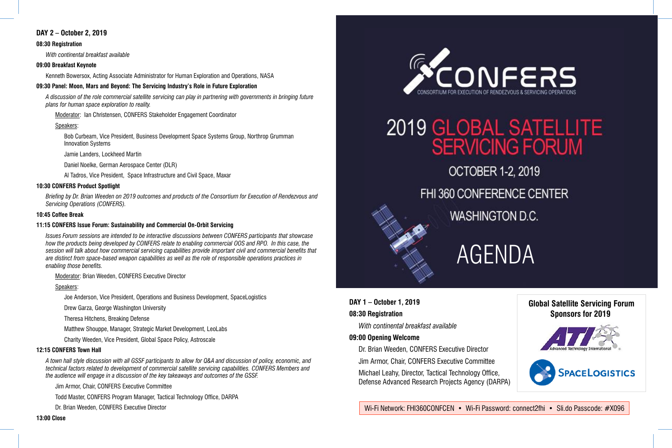## AGENDA

Wi-Fi Network: FHI360CONFCEN • Wi-Fi Password: connect2fhi • Sli.do Passcode: #X096

### **DAY 1 – October 1, 2019**

### **08:30 Registration**

#### **09:00 Opening Welcome**

*With continental breakfast available* Dr. Brian Weeden, CONFERS Executive Director Jim Armor, Chair, CONFERS Executive Committee Michael Leahy, Director, Tactical Technology Office, Defense Advanced Research Projects Agency (DARPA)

**Global Satellite Servicing Forum Sponsors for 2019 SPACELOGISTICS** 

#### **DAY 2 – October 2, 2019**

#### **08:30 Registration**

*With continental breakfast available*

#### **09:00 Breakfast Keynote**

Kenneth Bowersox, Acting Associate Administrator for Human Exploration and Operations, NASA

#### **09:30 Panel: Moon, Mars and Beyond: The Servicing Industry's Role in Future Exploration**

*A discussion of the role commercial satellite servicing can play in partnering with governments in bringing future plans for human space exploration to reality.*

Moderator: Ian Christensen, CONFERS Stakeholder Engagement Coordinator

#### Speakers:

Bob Curbeam, Vice President, Business Development Space Systems Group, Northrop Grumman Innovation Systems

Jamie Landers, Lockheed Martin

Daniel Noelke, German Aerospace Center (DLR)

Al Tadros, Vice President, Space Infrastructure and Civil Space, Maxar

#### **10:30 CONFERS Product Spotlight**

*Briefing by Dr. Brian Weeden on 2019 outcomes and products of the Consortium for Execution of Rendezvous and Servicing Operations (CONFERS).*

#### **10:45 Coffee Break**

#### **11:15 CONFERS Issue Forum: Sustainability and Commercial On-Orbit Servicing**

*Issues Forum sessions are intended to be interactive discussions between CONFERS participants that showcase how the products being developed by CONFERS relate to enabling commercial OOS and RPO. In this case, the session will talk about how commercial servicing capabilities provide important civil and commercial benefits that are distinct from space-based weapon capabilities as well as the role of responsible operations practices in enabling those benefits.*

Moderator: Brian Weeden, CONFERS Executive Director

#### Speakers:

Joe Anderson, Vice President, Operations and Business Development, SpaceLogistics

Drew Garza, George Washington University

Theresa Hitchens, Breaking Defense

Matthew Shouppe, Manager, Strategic Market Development, LeoLabs

Charity Weeden, Vice President, Global Space Policy, Astroscale

#### **12:15 CONFERS Town Hall**

*A town hall style discussion with all GSSF participants to allow for Q&A and discussion of policy, economic, and technical factors related to development of commercial satellite servicing capabilities. CONFERS Members and the audience will engage in a discussion of the key takeaways and outcomes of the GSSF.*

Jim Armor, Chair, CONFERS Executive Committee

Todd Master, CONFERS Program Manager, Tactical Technology Office, DARPA

Dr. Brian Weeden, CONFERS Executive Director



# 2019 GLOBAL SATELLITE<br>SERVICING FORUM

- OCTOBER 1-2, 2019
- FHI 360 CONFERENCE CENTER
	- **WASHINGTON D.C.**